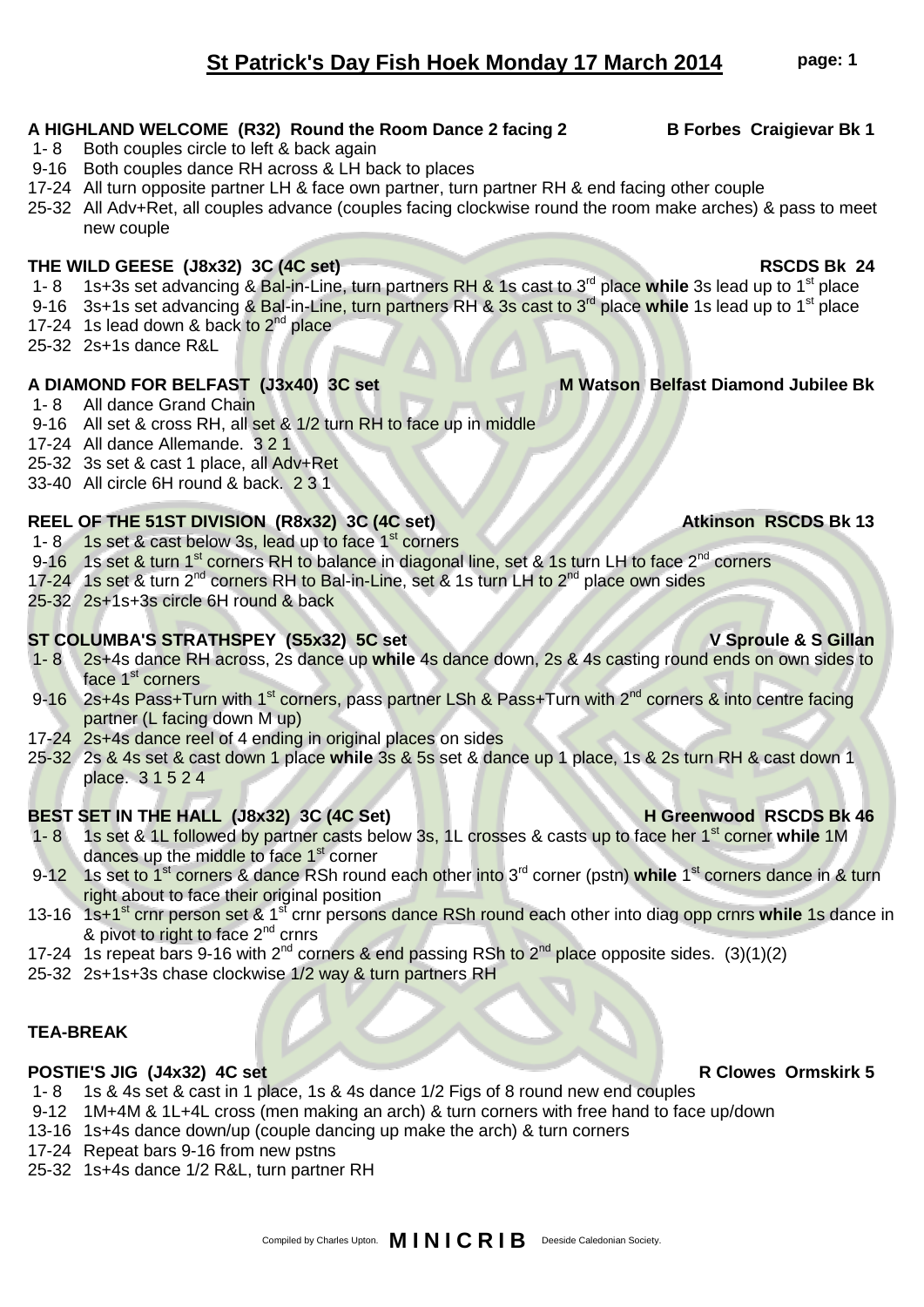# **St Patrick's Day Fish Hoek Monday 17 March 2014 page: 1**

### A HIGHLAND WELCOME (R32) Round the Room Dance 2 facing 2 **B** Forbes Craigievar Bk 1

- 1-8 Both couples circle to left & back again
- 9-16 Both couples dance RH across & LH back to places
- 17-24 All turn opposite partner LH & face own partner, turn partner RH & end facing other couple
- 25-32 All Adv+Ret, all couples advance (couples facing clockwise round the room make arches) & pass to meet new couple

### **THE WILD GEESE (J8x32) 3C (4C set) RSCDS Bk 24**

- 1- 8 1s+3s set advancing & Bal-in-Line, turn partners RH & 1s cast to 3rd place **while** 3s lead up to 1st place
- 9-16 3s+1s set advancing & Bal-in-Line, turn partners RH & 3s cast to 3rd place **while** 1s lead up to 1st place
- 17-24 1s lead down & back to 2<sup>nd</sup> place
- 25-32 2s+1s dance R&L

# A DIAMOND FOR BELFAST (J3x40) 3C set M Watson Belfast Diamond Jubilee Bk

- 1-8 All dance Grand Chain
- 9-16 All set & cross RH, all set & 1/2 turn RH to face up in middle
- 17-24 All dance Allemande. 3 2 1
- 25-32 3s set & cast 1 place, all Adv+Ret
- 33-40 All circle 6H round & back. 2 3 1

### **REEL OF THE 51ST DIVISION (R8x32) 3C (4C set) Atkinson RSCDS Bk 13**

- 1- 8 1s set & cast below 3s, lead up to face 1<sup>st</sup> corners
- 9-16 1s set & turn 1<sup>st</sup> corners RH to balance in diagonal line, set & 1s turn LH to face 2<sup>nd</sup> corners
- 17-24 1s set & turn  $2^{nd}$  corners RH to Bal-in-Line, set & 1s turn LH to  $2^{nd}$  place own sides
- 25-32 2s+1s+3s circle 6H round & back

### **ST COLUMBA'S STRATHSPEY (S5x32) 5C set V Sproule & S Gillan**

- 1- 8 2s+4s dance RH across, 2s dance up **while** 4s dance down, 2s & 4s casting round ends on own sides to face 1<sup>st</sup> corners
- 9-16 2s+4s Pass+Turn with 1<sup>st</sup> corners, pass partner LSh & Pass+Turn with 2<sup>nd</sup> corners & into centre facing partner (L facing down M up)
- 17-24 2s+4s dance reel of 4 ending in original places on sides
- 25-32 2s & 4s set & cast down 1 place **while** 3s & 5s set & dance up 1 place, 1s & 2s turn RH & cast down 1 place. 3 1 5 2 4

## **BEST SET IN THE HALL (J8x32) 3C (4C Set) H Greenwood RSCDS Bk 46**

- 1- 8 1s set & 1L followed by partner casts below 3s, 1L crosses & casts up to face her 1st corner **while** 1M dances up the middle to face 1<sup>st</sup> corner
- 9-12 1s set to 1<sup>st</sup> corners & dance RSh round each other into 3<sup>rd</sup> corner (pstn) while 1<sup>st</sup> corners dance in & turn right about to face their original position
- 13-16 1s+1st crnr person set & 1st crnr persons dance RSh round each other into diag opp crnrs **while** 1s dance in & pivot to right to face 2<sup>nd</sup> crnrs
- 17-24 1s repeat bars 9-16 with  $2^{nd}$  corners & end passing RSh to  $2^{nd}$  place opposite sides. (3)(1)(2)
- 25-32 2s+1s+3s chase clockwise 1/2 way & turn partners RH

### **TEA-BREAK**

### **POSTIE'S JIG (J4x32) 4C set R Clowes Ormskirk 5**

- 1- 8 1s & 4s set & cast in 1 place, 1s & 4s dance 1/2 Figs of 8 round new end couples
- 9-12 1M+4M & 1L+4L cross (men making an arch) & turn corners with free hand to face up/down
- 13-16 1s+4s dance down/up (couple dancing up make the arch) & turn corners
- 17-24 Repeat bars 9-16 from new pstns
- 25-32 1s+4s dance 1/2 R&L, turn partner RH